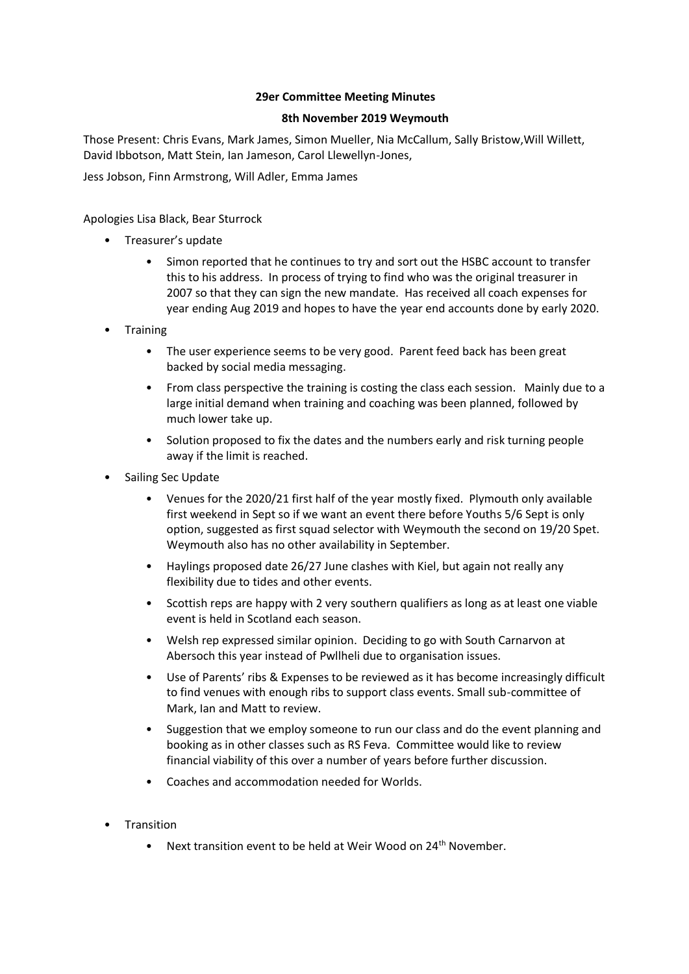## **29er Committee Meeting Minutes**

## **8th November 2019 Weymouth**

Those Present: Chris Evans, Mark James, Simon Mueller, Nia McCallum, Sally Bristow,Will Willett, David Ibbotson, Matt Stein, Ian Jameson, Carol Llewellyn-Jones,

Jess Jobson, Finn Armstrong, Will Adler, Emma James

Apologies Lisa Black, Bear Sturrock

- Treasurer's update
	- Simon reported that he continues to try and sort out the HSBC account to transfer this to his address. In process of trying to find who was the original treasurer in 2007 so that they can sign the new mandate. Has received all coach expenses for year ending Aug 2019 and hopes to have the year end accounts done by early 2020.
- Training
	- The user experience seems to be very good. Parent feed back has been great backed by social media messaging.
	- From class perspective the training is costing the class each session. Mainly due to a large initial demand when training and coaching was been planned, followed by much lower take up.
	- Solution proposed to fix the dates and the numbers early and risk turning people away if the limit is reached.
- Sailing Sec Update
	- Venues for the 2020/21 first half of the year mostly fixed. Plymouth only available first weekend in Sept so if we want an event there before Youths 5/6 Sept is only option, suggested as first squad selector with Weymouth the second on 19/20 Spet. Weymouth also has no other availability in September.
	- Haylings proposed date 26/27 June clashes with Kiel, but again not really any flexibility due to tides and other events.
	- Scottish reps are happy with 2 very southern qualifiers as long as at least one viable event is held in Scotland each season.
	- Welsh rep expressed similar opinion. Deciding to go with South Carnarvon at Abersoch this year instead of Pwllheli due to organisation issues.
	- Use of Parents' ribs & Expenses to be reviewed as it has become increasingly difficult to find venues with enough ribs to support class events. Small sub-committee of Mark, Ian and Matt to review.
	- Suggestion that we employ someone to run our class and do the event planning and booking as in other classes such as RS Feva. Committee would like to review financial viability of this over a number of years before further discussion.
	- Coaches and accommodation needed for Worlds.
- Transition
	- Next transition event to be held at Weir Wood on  $24<sup>th</sup>$  November.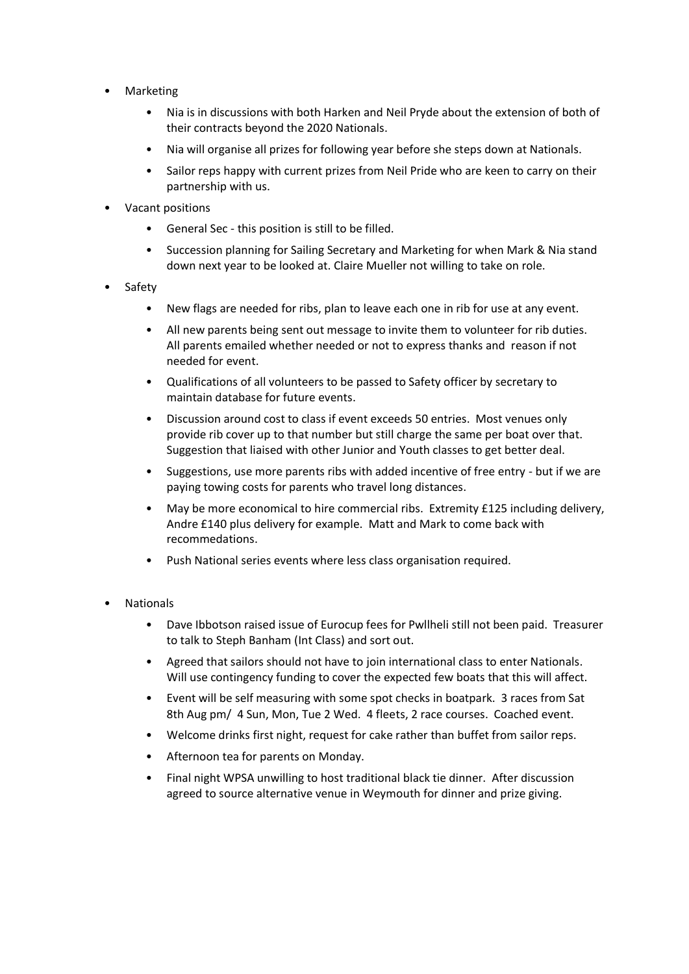- Marketing
	- Nia is in discussions with both Harken and Neil Pryde about the extension of both of their contracts beyond the 2020 Nationals.
	- Nia will organise all prizes for following year before she steps down at Nationals.
	- Sailor reps happy with current prizes from Neil Pride who are keen to carry on their partnership with us.
- Vacant positions
	- General Sec this position is still to be filled.
	- Succession planning for Sailing Secretary and Marketing for when Mark & Nia stand down next year to be looked at. Claire Mueller not willing to take on role.
- Safety
	- New flags are needed for ribs, plan to leave each one in rib for use at any event.
	- All new parents being sent out message to invite them to volunteer for rib duties. All parents emailed whether needed or not to express thanks and reason if not needed for event.
	- Qualifications of all volunteers to be passed to Safety officer by secretary to maintain database for future events.
	- Discussion around cost to class if event exceeds 50 entries. Most venues only provide rib cover up to that number but still charge the same per boat over that. Suggestion that liaised with other Junior and Youth classes to get better deal.
	- Suggestions, use more parents ribs with added incentive of free entry but if we are paying towing costs for parents who travel long distances.
	- May be more economical to hire commercial ribs. Extremity £125 including delivery, Andre £140 plus delivery for example. Matt and Mark to come back with recommedations.
	- Push National series events where less class organisation required.
- **Nationals** 
	- Dave Ibbotson raised issue of Eurocup fees for Pwllheli still not been paid. Treasurer to talk to Steph Banham (Int Class) and sort out.
	- Agreed that sailors should not have to join international class to enter Nationals. Will use contingency funding to cover the expected few boats that this will affect.
	- Event will be self measuring with some spot checks in boatpark. 3 races from Sat 8th Aug pm/ 4 Sun, Mon, Tue 2 Wed. 4 fleets, 2 race courses. Coached event.
	- Welcome drinks first night, request for cake rather than buffet from sailor reps.
	- Afternoon tea for parents on Monday.
	- Final night WPSA unwilling to host traditional black tie dinner. After discussion agreed to source alternative venue in Weymouth for dinner and prize giving.